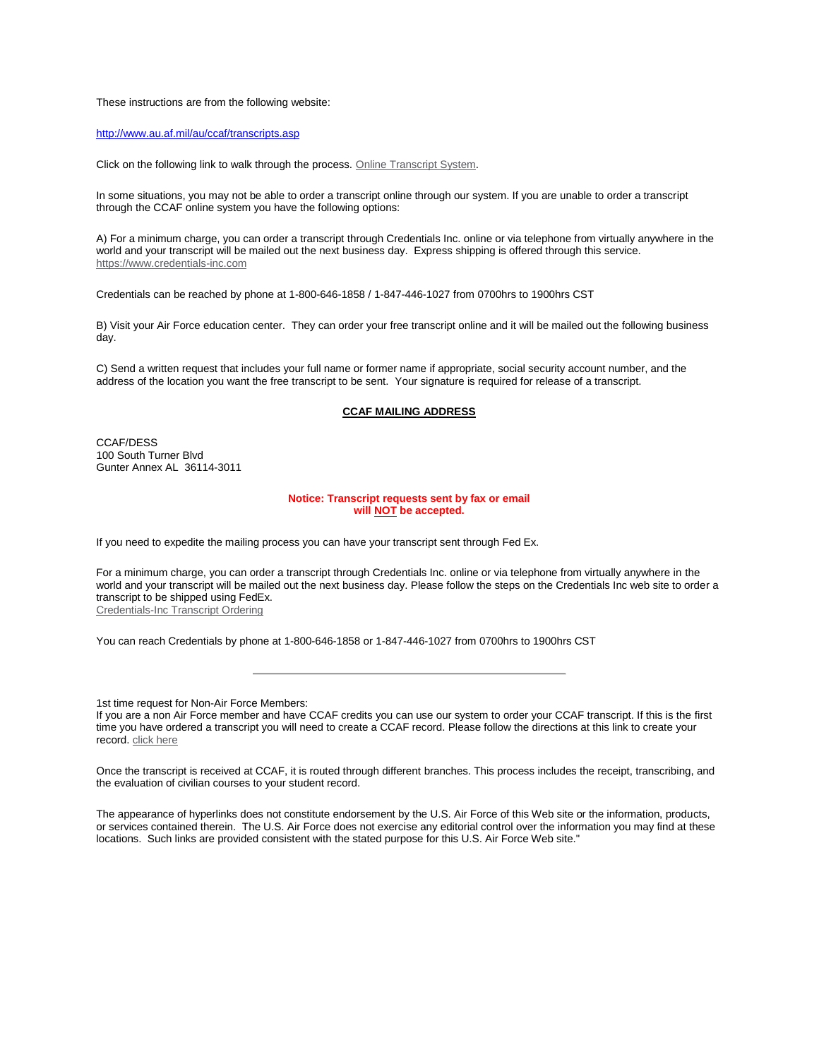These instructions are from the following website:

<http://www.au.af.mil/au/ccaf/transcripts.asp>

Click on the following link to walk through the process. [Online Transcript System.](https://augateway.maxwell.af.mil/ccaf/stu_svcs/transcriptrequest/index.asp)

In some situations, you may not be able to order a transcript online through our system. If you are unable to order a transcript through the CCAF online system you have the following options:

A) For a minimum charge, you can order a transcript through Credentials Inc. online or via telephone from virtually anywhere in the world and your transcript will be mailed out the next business day. Express shipping is offered through this service. [https://www.credentials-inc.com](https://www.credentials-inc.com/)

Credentials can be reached by phone at 1-800-646-1858 / 1-847-446-1027 from 0700hrs to 1900hrs CST

B) Visit your Air Force education center. They can order your free transcript online and it will be mailed out the following business day.

C) Send a written request that includes your full name or former name if appropriate, social security account number, and the address of the location you want the free transcript to be sent. Your signature is required for release of a transcript.

## **CCAF MAILING ADDRESS**

CCAF/DESS 100 South Turner Blvd Gunter Annex AL 36114-3011

## **Notice: Transcript requests sent by fax or email will NOT be accepted.**

If you need to expedite the mailing process you can have your transcript sent through Fed Ex.

For a minimum charge, you can order a transcript through Credentials Inc. online or via telephone from virtually anywhere in the world and your transcript will be mailed out the next business day. Please follow the steps on the Credentials Inc web site to order a transcript to be shipped using FedEx. [Credentials-Inc Transcript Ordering](https://www.credentials-inc.com/tplus/?ALUMTRO012308)

You can reach Credentials by phone at 1-800-646-1858 or 1-847-446-1027 from 0700hrs to 1900hrs CST

1st time request for Non-Air Force Members:

If you are a non Air Force member and have CCAF credits you can use our system to order your CCAF transcript. If this is the first time you have ordered a transcript you will need to create a CCAF record. Please follow the directions at this link to create your record. click here

Once the transcript is received at CCAF, it is routed through different branches. This process includes the receipt, transcribing, and the evaluation of civilian courses to your student record.

The appearance of hyperlinks does not constitute endorsement by the U.S. Air Force of this Web site or the information, products, or services contained therein. The U.S. Air Force does not exercise any editorial control over the information you may find at these locations. Such links are provided consistent with the stated purpose for this U.S. Air Force Web site."